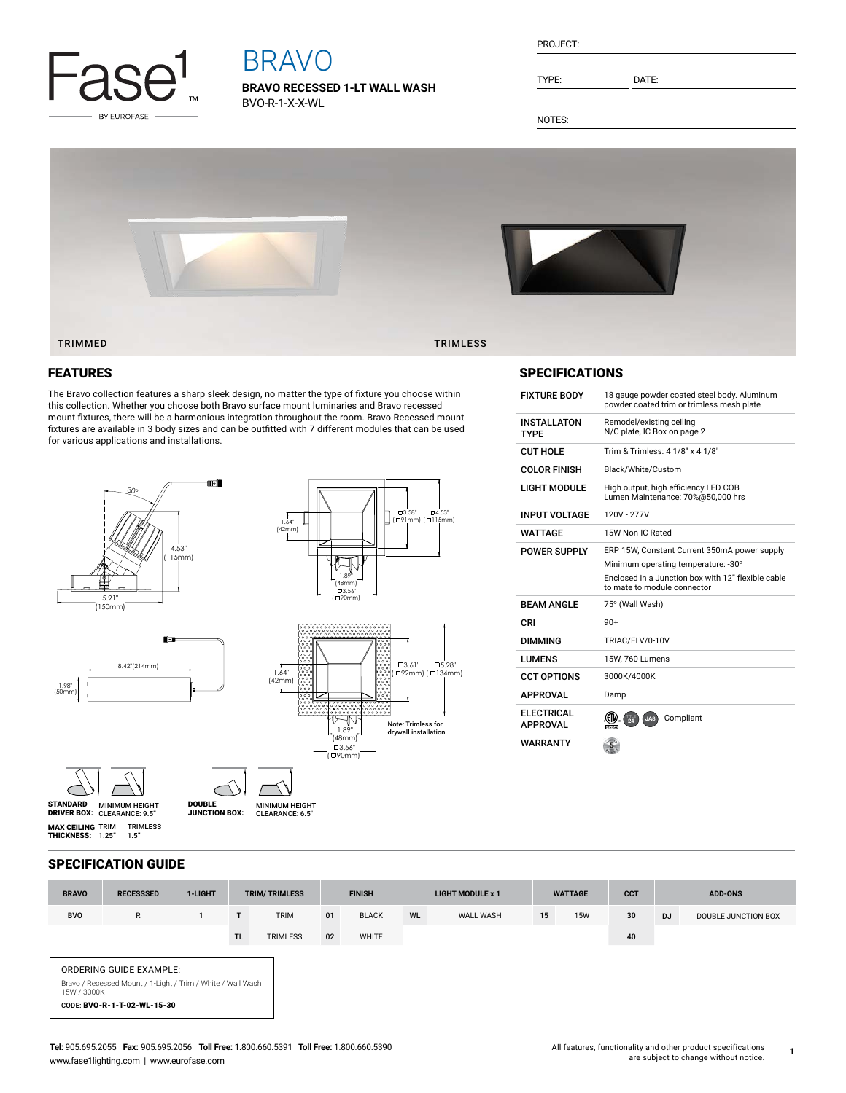

# BRAVO

**BRAVO RECESSED 1-LT WALL WASH** BVO-R-1-X-X-WL

TYPE: DATE:

NOTES:



## FEATURES

The Bravo collection features a sharp sleek design, no matter the type of fixture you choose within this collection. Whether you choose both Bravo surface mount luminaries and Bravo recessed mount fixtures, there will be a harmonious integration throughout the room. Bravo Recessed mount fixtures are available in 3 body sizes and can be outfitted with 7 different modules that can be used for various applications and installations.



MINIMUM HEIGHT<br>CLEARANCE: 6.5"

SPECIFICATIONS

| <b>FIXTURE BODY</b>                  | 18 gauge powder coated steel body. Aluminum<br>powder coated trim or trimless mesh plate                                                                                 |  |  |  |  |  |  |  |
|--------------------------------------|--------------------------------------------------------------------------------------------------------------------------------------------------------------------------|--|--|--|--|--|--|--|
| <b>INSTALLATON</b><br><b>TYPF</b>    | Remodel/existing ceiling<br>N/C plate, IC Box on page 2                                                                                                                  |  |  |  |  |  |  |  |
| <b>CUT HOLE</b>                      | Trim & Trimless: 4 1/8" x 4 1/8"                                                                                                                                         |  |  |  |  |  |  |  |
| <b>COLOR FINISH</b>                  | Black/White/Custom                                                                                                                                                       |  |  |  |  |  |  |  |
| <b>LIGHT MODULE</b>                  | High output, high efficiency LED COB<br>Lumen Maintenance: 70%@50,000 hrs                                                                                                |  |  |  |  |  |  |  |
| <b>INPUT VOLTAGE</b>                 | 120V - 277V                                                                                                                                                              |  |  |  |  |  |  |  |
| WATTAGF                              | 15W Non-IC Rated                                                                                                                                                         |  |  |  |  |  |  |  |
| <b>POWER SUPPLY</b>                  | ERP 15W, Constant Current 350mA power supply<br>Minimum operating temperature: -30°<br>Enclosed in a Junction box with 12" flexible cable<br>to mate to module connector |  |  |  |  |  |  |  |
| <b>BFAM ANGLF</b>                    | 75° (Wall Wash)                                                                                                                                                          |  |  |  |  |  |  |  |
| CRI                                  | $90+$                                                                                                                                                                    |  |  |  |  |  |  |  |
| <b>DIMMING</b>                       | TRIAC/ELV/0-10V                                                                                                                                                          |  |  |  |  |  |  |  |
| <b>LUMENS</b>                        | 15W, 760 Lumens                                                                                                                                                          |  |  |  |  |  |  |  |
| <b>CCT OPTIONS</b>                   | 3000K/4000K                                                                                                                                                              |  |  |  |  |  |  |  |
| <b>APPROVAL</b>                      | Damp                                                                                                                                                                     |  |  |  |  |  |  |  |
| <b>ELECTRICAL</b><br><b>APPROVAL</b> | Compliant<br>24<br>JAB                                                                                                                                                   |  |  |  |  |  |  |  |
| <b>WARRANTY</b>                      |                                                                                                                                                                          |  |  |  |  |  |  |  |

# SPECIFICATION GUIDE

TRIMLESS 1.5"

**MAX CEILING** TRIM<br>**THICKNESS:** 1.25"

MINIMUM HEIGHT CLEARANCE: 9.5" STANDARD DRIVER BOX: MINIMUM HEIGHT

DOUBLE JUNCTION BOX:

| <b>BRAVO</b>                                                                                                                                | <b>RECESSSED</b> | 1-LIGHT | <b>TRIM/TRIMLESS</b> |                 | <b>FINISH</b> |              | <b>LIGHT MODULE x 1</b> |                  | <b>WATTAGE</b> |            | <b>CCT</b> | <b>ADD-ONS</b> |                     |
|---------------------------------------------------------------------------------------------------------------------------------------------|------------------|---------|----------------------|-----------------|---------------|--------------|-------------------------|------------------|----------------|------------|------------|----------------|---------------------|
| <b>BVO</b>                                                                                                                                  | $\mathsf{R}$     |         | T.                   | <b>TRIM</b>     | 01            | <b>BLACK</b> | <b>WL</b>               | <b>WALL WASH</b> | 15             | <b>15W</b> | 30         | <b>DJ</b>      | DOUBLE JUNCTION BOX |
|                                                                                                                                             |                  |         | TL.                  | <b>TRIMLESS</b> | 02            | WHITE        |                         |                  |                |            | 40         |                |                     |
| <b>ORDERING GUIDE EXAMPLE:</b><br>Bravo / Recessed Mount / 1-Light / Trim / White / Wall Wash<br>15W / 3000K<br>CODE: BVO-R-1-T-02-WL-15-30 |                  |         |                      |                 |               |              |                         |                  |                |            |            |                |                     |

**1**